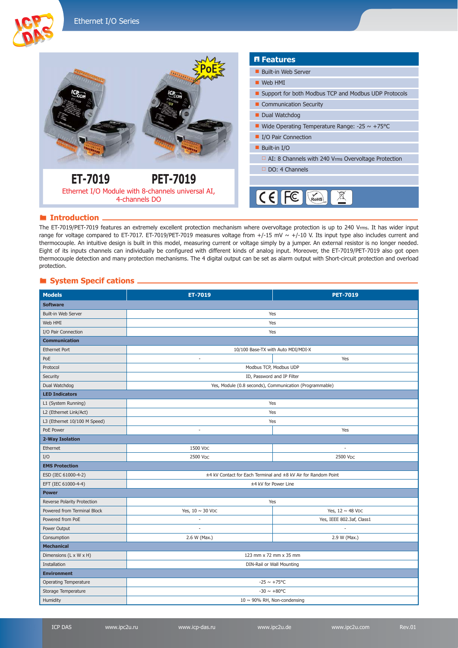



### **Introduction**

The ET-7019/PET-7019 features an extremely excellent protection mechanism where overvoltage protection is up to 240 Vrms. It has wider input range for voltage compared to ET-7017. ET-7019/PET-7019 measures voltage from  $+/-15$  mV  $\sim +/-10$  V. Its input type also includes current and thermocouple. An intuitive design is built in this model, measuring current or voltage simply by a jumper. An external resistor is no longer needed. Eight of its inputs channels can individually be configured with different kinds of analog input. Moreover, the ET-7019/PET-7019 also got open thermocouple detection and many protection mechanisms. The 4 digital output can be set as alarm output with Short-circuit protection and overload protection.

## **System Specif cations**

| <b>Models</b>                | <b>ET-7019</b>                                                 | <b>PET-7019</b>           |  |  |
|------------------------------|----------------------------------------------------------------|---------------------------|--|--|
| <b>Software</b>              |                                                                |                           |  |  |
| Built-in Web Server          | Yes                                                            |                           |  |  |
| Web HMI                      | Yes                                                            |                           |  |  |
| I/O Pair Connection          | Yes                                                            |                           |  |  |
| <b>Communication</b>         |                                                                |                           |  |  |
| <b>Ethernet Port</b>         | 10/100 Base-TX with Auto MDI/MDI-X                             |                           |  |  |
| PoE                          | ä,                                                             | Yes                       |  |  |
| Protocol                     | Modbus TCP, Modbus UDP                                         |                           |  |  |
| Security                     | ID, Password and IP Filter                                     |                           |  |  |
| Dual Watchdog                | Yes, Module (0.8 seconds), Communication (Programmable)        |                           |  |  |
| <b>LED Indicators</b>        |                                                                |                           |  |  |
| L1 (System Running)          | Yes                                                            |                           |  |  |
| L2 (Ethernet Link/Act)       | Yes                                                            |                           |  |  |
| L3 (Ethernet 10/100 M Speed) | Yes                                                            |                           |  |  |
| PoE Power                    | $\sim$                                                         | Yes                       |  |  |
| 2-Way Isolation              |                                                                |                           |  |  |
| Ethernet                     | 1500 VDC                                                       | ÷,                        |  |  |
| I/O                          | 2500 VDC                                                       | 2500 VDC                  |  |  |
| <b>EMS Protection</b>        |                                                                |                           |  |  |
| ESD (IEC 61000-4-2)          | ±4 kV Contact for Each Terminal and ±8 kV Air for Random Point |                           |  |  |
| EFT (IEC 61000-4-4)          | ±4 kV for Power Line                                           |                           |  |  |
| <b>Power</b>                 |                                                                |                           |  |  |
| Reverse Polarity Protection  | Yes                                                            |                           |  |  |
| Powered from Terminal Block  | Yes, $10 \sim 30$ VDC                                          | Yes, $12 \sim 48$ VDC     |  |  |
| Powered from PoE             |                                                                | Yes, IEEE 802.3af, Class1 |  |  |
| Power Output                 |                                                                |                           |  |  |
| Consumption                  | 2.6 W (Max.)                                                   | 2.9 W (Max.)              |  |  |
| <b>Mechanical</b>            |                                                                |                           |  |  |
| Dimensions (L x W x H)       | 123 mm x 72 mm x 35 mm                                         |                           |  |  |
| Installation                 | DIN-Rail or Wall Mounting                                      |                           |  |  |
| <b>Environment</b>           |                                                                |                           |  |  |
| Operating Temperature        | $-25 \sim +75^{\circ}C$                                        |                           |  |  |
| Storage Temperature          | $-30 \sim +80^{\circ}C$                                        |                           |  |  |
| Humidity                     | 10 $\sim$ 90% RH, Non-condensing                               |                           |  |  |